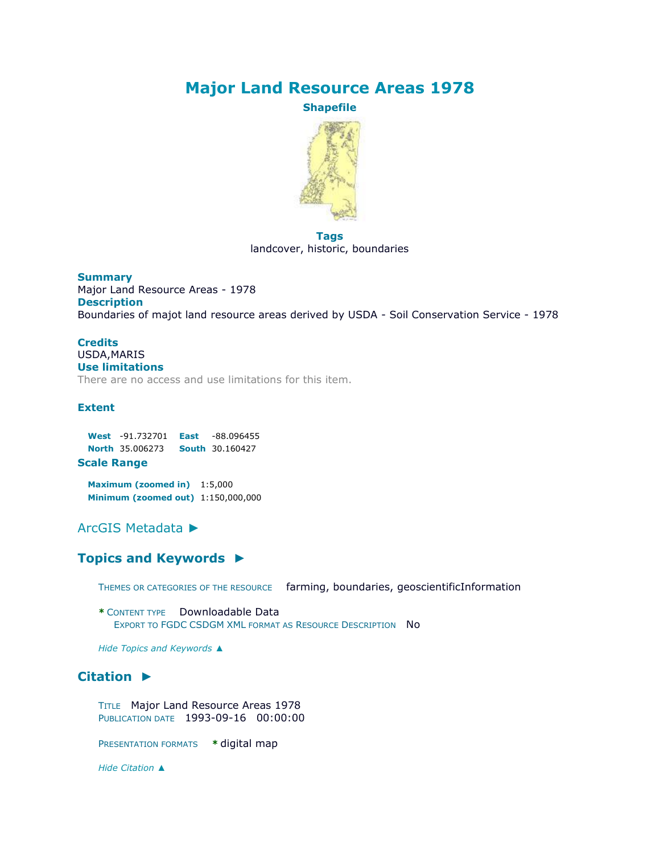# **Major Land Resource Areas 1978**

**Shapefile**



**Tags** landcover, historic, boundaries

**Summary** Major Land Resource Areas - 1978 **Description** Boundaries of majot land resource areas derived by USDA - Soil Conservation Service - 1978

#### **Credits** USDA,MARIS **Use limitations**

There are no access and use limitations for this item.

#### **Extent**

**West** -91.732701 **East** -88.096455 **North** 35.006273 **South** 30.160427

**Scale Range**

**Maximum (zoomed in)** 1:5,000 **Minimum (zoomed out)** 1:150,000,000

# [ArcGIS Metadata](file:///C:/Users/swalker/AppData/Local/Temp/arc4EC9/tmp2231.tmp.htm%23arcgisMetadata) ►

## **[Topics and Keywords](file:///C:/Users/swalker/AppData/Local/Temp/arc4EC9/tmp2231.tmp.htm%23true) ►**

THEMES OR CATEGORIES OF THE RESOURCE farming, boundaries, geoscientificInformation

**\*** CONTENT TYPE Downloadable Data EXPORT TO FGDC CSDGM XML FORMAT AS RESOURCE DESCRIPTION NO

*Hide [Topics and Keywords](file:///C:/Users/swalker/AppData/Local/Temp/arc4EC9/tmp2231.tmp.htm%23true) ▲*

# **[Citation](file:///C:/Users/swalker/AppData/Local/Temp/arc4EC9/tmp2231.tmp.htm%23ID0EOJA) ►**

TITLE Major Land Resource Areas 1978 PUBLICATION DATE 1993-09-16 00:00:00

PRESENTATION FORMATS **\*** digital map

*Hide [Citation](file:///C:/Users/swalker/AppData/Local/Temp/arc4EC9/tmp2231.tmp.htm%23ID0EOJA) ▲*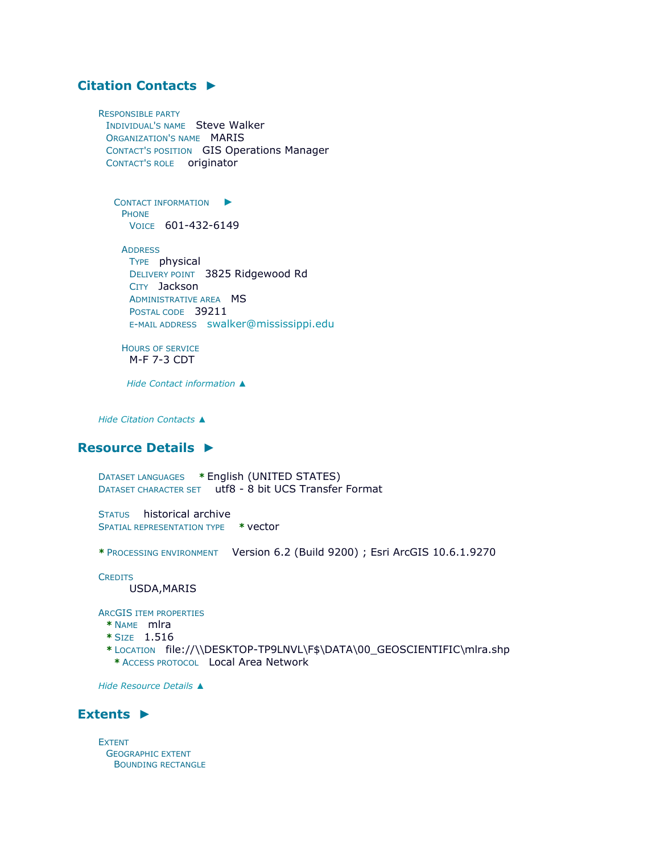# **[Citation Contacts](file:///C:/Users/swalker/AppData/Local/Temp/arc4EC9/tmp2231.tmp.htm%23ID0EBOJA) ►**

RESPONSIBLE PARTY INDIVIDUAL'S NAME Steve Walker ORGANIZATION'S NAME MARIS CONTACT'S POSITION GIS Operations Manager CONTACT'S ROLE originator

C[ONTACT INFORMATION](file:///C:/Users/swalker/AppData/Local/Temp/arc4EC9/tmp2231.tmp.htm%23ID0EABOJA)  $\blacktriangleright$ PHONE VOICE 601-432-6149

**ADDRESS** TYPE physical DELIVERY POINT 3825 Ridgewood Rd CITY Jackson ADMINISTRATIVE AREA MS POSTAL CODE 39211 E-MAIL ADDRESS [swalker@mississippi.edu](mailto:swalker@mississippi.edu?subject=Major%20Land%20Resource%20Areas%201978)

HOURS OF SERVICE M-F 7-3 CDT

*Hide [Contact information](file:///C:/Users/swalker/AppData/Local/Temp/arc4EC9/tmp2231.tmp.htm%23ID0EABOJA) ▲*

*Hide [Citation Contacts](file:///C:/Users/swalker/AppData/Local/Temp/arc4EC9/tmp2231.tmp.htm%23ID0EBOJA) ▲*

#### **[Resource Details](file:///C:/Users/swalker/AppData/Local/Temp/arc4EC9/tmp2231.tmp.htm%23ID0EEBGMA) ►**

DATASET LANGUAGES **\*** English (UNITED STATES) DATASET CHARACTER SET utf8 - 8 bit UCS Transfer Format

STATUS historical archive SPATIAL REPRESENTATION TYPE **\*** vector

**\*** PROCESSING ENVIRONMENT Version 6.2 (Build 9200) ; Esri ArcGIS 10.6.1.9270

**CREDITS** 

USDA,MARIS

ARCGIS ITEM PROPERTIES

- **\*** NAME mlra
- **\*** SIZE 1.516
- **\*** LOCATION file://\\DESKTOP-TP9LNVL\F\$\DATA\00\_GEOSCIENTIFIC\mlra.shp **\*** ACCESS PROTOCOL Local Area Network

*Hide [Resource Details](file:///C:/Users/swalker/AppData/Local/Temp/arc4EC9/tmp2231.tmp.htm%23ID0EEBGMA) ▲*

## **[Extents](file:///C:/Users/swalker/AppData/Local/Temp/arc4EC9/tmp2231.tmp.htm%23ID0EEDBGMA) ►**

EXTENT GEOGRAPHIC EXTENT BOUNDING RECTANGLE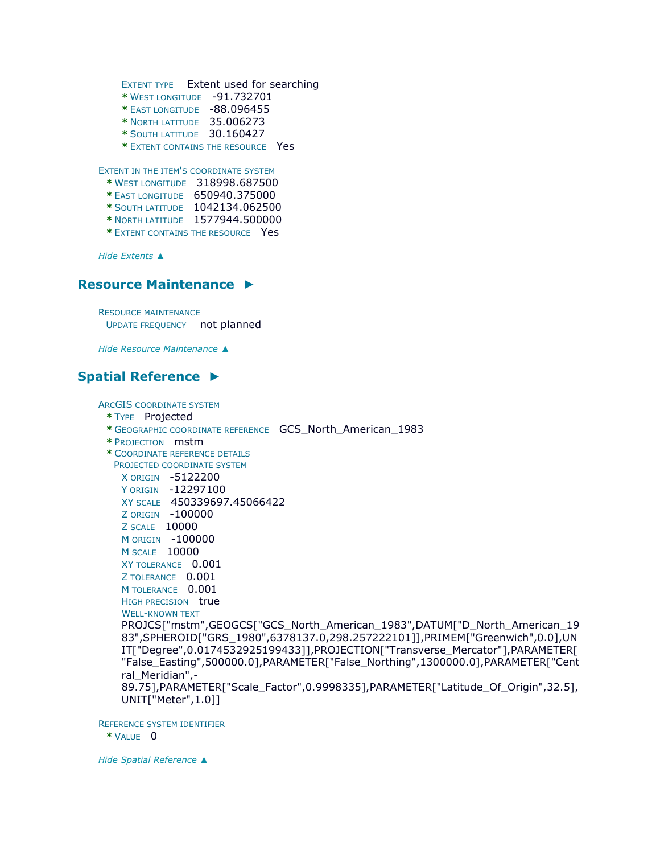```
EXTENT TYPE Extent used for searching 
    * WEST LONGITUDE -91.732701 
    * EAST LONGITUDE -88.096455 
    * NORTH LATITUDE 35.006273 
    * SOUTH LATITUDE 30.160427 
    * EXTENT CONTAINS THE RESOURCE Yes
EXTENT IN THE ITEM'S COORDINATE SYSTEM
```
**\*** WEST LONGITUDE 318998.687500

- **\*** EAST LONGITUDE 650940.375000
- **\*** SOUTH LATITUDE 1042134.062500
- **\*** NORTH LATITUDE 1577944.500000
- **\*** EXTENT CONTAINS THE RESOURCE Yes

*Hide [Extents](file:///C:/Users/swalker/AppData/Local/Temp/arc4EC9/tmp2231.tmp.htm%23ID0EEDBGMA) ▲*

## **[Resource Maintenance](file:///C:/Users/swalker/AppData/Local/Temp/arc4EC9/tmp2231.tmp.htm%23ID0EHJA) ►**

RESOURCE MAINTENANCE UPDATE FREQUENCY not planned

*Hide [Resource Maintenance](file:///C:/Users/swalker/AppData/Local/Temp/arc4EC9/tmp2231.tmp.htm%23ID0EHJA) ▲*

## **[Spatial Reference](file:///C:/Users/swalker/AppData/Local/Temp/arc4EC9/tmp2231.tmp.htm%23ID0EEAGMA) ►**

ARCGIS COORDINATE SYSTEM

- **\*** TYPE Projected
- **\*** GEOGRAPHIC COORDINATE REFERENCE GCS\_North\_American\_1983
- **\*** PROJECTION mstm
- **\*** COORDINATE REFERENCE DETAILS
	- PROJECTED COORDINATE SYSTEM
		- X ORIGIN -5122200

Y ORIGIN -12297100

- XY SCALE 450339697.45066422
- Z ORIGIN -100000

```
Z SCALE 10000
```
M ORIGIN -100000

- M SCALE 10000
- XY TOLERANCE 0.001

```
Z TOLERANCE 0.001
```

```
M TOLERANCE 0.001
```

```
HIGH PRECISION true
```
WELL-KNOWN TEXT

PROJCS["mstm",GEOGCS["GCS\_North\_American\_1983",DATUM["D\_North\_American\_19 83",SPHEROID["GRS\_1980",6378137.0,298.257222101]],PRIMEM["Greenwich",0.0],UN IT["Degree",0.0174532925199433]],PROJECTION["Transverse\_Mercator"],PARAMETER[ "False\_Easting",500000.0],PARAMETER["False\_Northing",1300000.0],PARAMETER["Cent ral Meridian",-

89.75],PARAMETER["Scale\_Factor",0.9998335],PARAMETER["Latitude\_Of\_Origin",32.5], UNIT["Meter",1.0]]

REFERENCE SYSTEM IDENTIFIER

**\*** VALUE 0

*Hide [Spatial Reference](file:///C:/Users/swalker/AppData/Local/Temp/arc4EC9/tmp2231.tmp.htm%23ID0EEAGMA) ▲*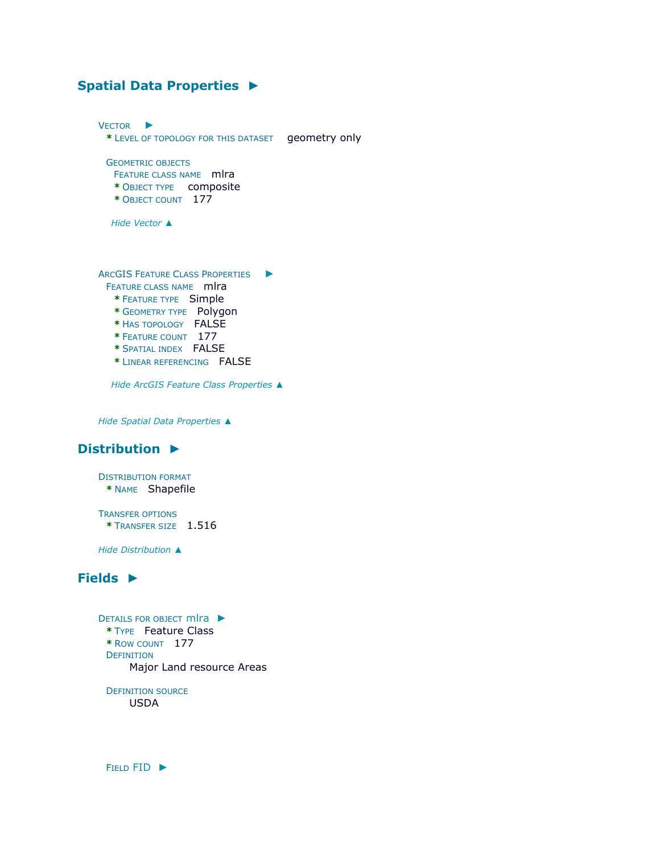## **[Spatial Data Properties](file:///C:/Users/swalker/AppData/Local/Temp/arc4EC9/tmp2231.tmp.htm%23ID0EACA) ►**

V[ECTOR](file:///C:/Users/swalker/AppData/Local/Temp/arc4EC9/tmp2231.tmp.htm%23ID0EBACA) ► **\*** LEVEL OF TOPOLOGY FOR THIS DATASET geometry only GEOMETRIC OBJECTS FEATURE CLASS NAME mlra **\*** OBJECT TYPE composite **\*** OBJECT COUNT 177 *Hide [Vector](file:///C:/Users/swalker/AppData/Local/Temp/arc4EC9/tmp2231.tmp.htm%23ID0EBACA) ▲* ARCGIS FEATURE CLASS P[ROPERTIES](file:///C:/Users/swalker/AppData/Local/Temp/arc4EC9/tmp2231.tmp.htm%23ID0EA) ► FEATURE CLASS NAME mlra **\*** FEATURE TYPE Simple **\*** GEOMETRY TYPE Polygon **\*** HAS TOPOLOGY FALSE **\*** FEATURE COUNT 177 **\*** SPATIAL INDEX FALSE **\*** LINEAR REFERENCING FALSE

*Hide [ArcGIS Feature Class Properties](file:///C:/Users/swalker/AppData/Local/Temp/arc4EC9/tmp2231.tmp.htm%23ID0EA) ▲*

*Hide [Spatial Data Properties](file:///C:/Users/swalker/AppData/Local/Temp/arc4EC9/tmp2231.tmp.htm%23ID0EACA) ▲*

# **[Distribution](file:///C:/Users/swalker/AppData/Local/Temp/arc4EC9/tmp2231.tmp.htm%23ID0EGA) ►**

DISTRIBUTION FORMAT **\*** NAME Shapefile

TRANSFER OPTIONS **\*** TRANSFER SIZE 1.516

*Hide [Distribution](file:///C:/Users/swalker/AppData/Local/Temp/arc4EC9/tmp2231.tmp.htm%23ID0EGA) ▲*

## **[Fields](file:///C:/Users/swalker/AppData/Local/Temp/arc4EC9/tmp2231.tmp.htm%23ID0EIA) ►**

```
DETAILS FOR OBJECT mlra ►
 * TYPE Feature Class 
 * ROW COUNT 177 
 DEFINITION
      Major Land resource Areas
```
DEFINITION SOURCE USDA

FIELD [FID](file:///C:/Users/swalker/AppData/Local/Temp/arc4EC9/tmp2231.tmp.htm%23ID0EIAIA) ►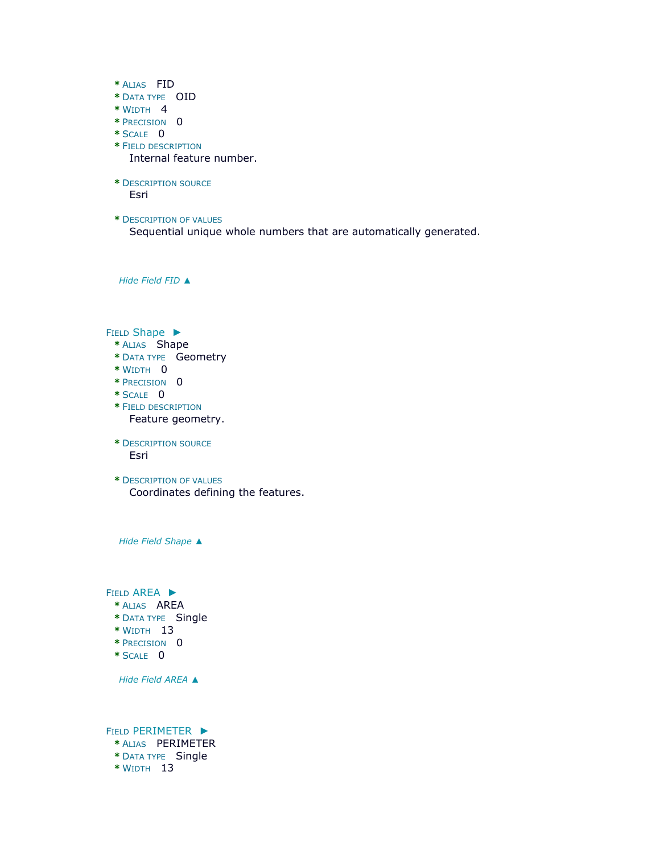- **\*** ALIAS FID
- **\*** DATA TYPE OID
- **\*** WIDTH 4
- **\*** PRECISION 0
- **\*** SCALE 0
- **\*** FIELD DESCRIPTION

Internal feature number.

**\*** DESCRIPTION SOURCE

Esri

**\*** DESCRIPTION OF VALUES

Sequential unique whole numbers that are automatically generated.

*Hide [Field](file:///C:/Users/swalker/AppData/Local/Temp/arc4EC9/tmp2231.tmp.htm%23ID0EIAIA) FID ▲*

FIELD [Shape](file:///C:/Users/swalker/AppData/Local/Temp/arc4EC9/tmp2231.tmp.htm%23ID0EHAIA) ►

- **\*** ALIAS Shape
- **\*** DATA TYPE Geometry
- **\*** WIDTH 0
- **\*** PRECISION 0
- **\*** SCALE 0
- **\*** FIELD DESCRIPTION Feature geometry.
- **\*** DESCRIPTION SOURCE Esri
- **\*** DESCRIPTION OF VALUES Coordinates defining the features.

*Hide Field [Shape](file:///C:/Users/swalker/AppData/Local/Temp/arc4EC9/tmp2231.tmp.htm%23ID0EHAIA) ▲*

FIELD [AREA](file:///C:/Users/swalker/AppData/Local/Temp/arc4EC9/tmp2231.tmp.htm%23ID0EGAIA) ►

- **\*** ALIAS AREA
- **\*** DATA TYPE Single
- **\*** WIDTH 13
- **\*** PRECISION 0
- **\*** SCALE 0

*Hide Field [AREA](file:///C:/Users/swalker/AppData/Local/Temp/arc4EC9/tmp2231.tmp.htm%23ID0EGAIA) ▲*

FIELD [PERIMETER](file:///C:/Users/swalker/AppData/Local/Temp/arc4EC9/tmp2231.tmp.htm%23ID0EFAIA) ►

- **\*** ALIAS PERIMETER
- **\*** DATA TYPE Single
- **\*** WIDTH 13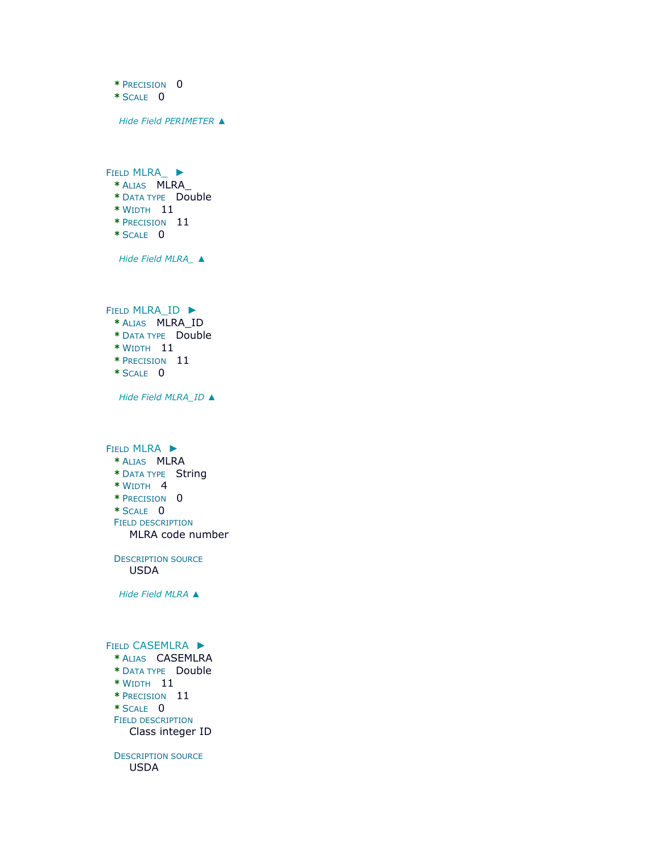- **\*** PRECISION 0
- **\*** SCALE 0

*Hide Field [PERIMETER](file:///C:/Users/swalker/AppData/Local/Temp/arc4EC9/tmp2231.tmp.htm%23ID0EFAIA) ▲*

FIELD [MLRA\\_](file:///C:/Users/swalker/AppData/Local/Temp/arc4EC9/tmp2231.tmp.htm%23ID0EEAIA) ► **\*** ALIAS MLRA\_ **\*** DATA TYPE Double **\*** WIDTH 11

- **\*** PRECISION 11
- **\*** SCALE 0

*Hide Field [MLRA\\_](file:///C:/Users/swalker/AppData/Local/Temp/arc4EC9/tmp2231.tmp.htm%23ID0EEAIA) ▲*

FIELD [MLRA\\_ID](file:///C:/Users/swalker/AppData/Local/Temp/arc4EC9/tmp2231.tmp.htm%23ID0EDAIA) ►

- **\*** ALIAS MLRA\_ID
- **\*** DATA TYPE Double
- **\*** WIDTH 11
- **\*** PRECISION 11
- **\*** SCALE 0

*Hide Field [MLRA\\_ID](file:///C:/Users/swalker/AppData/Local/Temp/arc4EC9/tmp2231.tmp.htm%23ID0EDAIA) ▲*

FIELD [MLRA](file:///C:/Users/swalker/AppData/Local/Temp/arc4EC9/tmp2231.tmp.htm%23ID0ECAIA) ► **\*** ALIAS MLRA **\*** DATA TYPE String **\*** WIDTH 4 **\*** PRECISION 0 **\*** SCALE 0 FIELD DESCRIPTION MLRA code number

DESCRIPTION SOURCE USDA

*Hide Field [MLRA](file:///C:/Users/swalker/AppData/Local/Temp/arc4EC9/tmp2231.tmp.htm%23ID0ECAIA) ▲*

#### FIELD [CASEMLRA](file:///C:/Users/swalker/AppData/Local/Temp/arc4EC9/tmp2231.tmp.htm%23ID0EBAIA) ►

- **\*** ALIAS CASEMLRA
- **\*** DATA TYPE Double
- **\*** WIDTH 11
- **\*** PRECISION 11
- **\*** SCALE 0 FIELD DESCRIPTION

Class integer ID

DESCRIPTION SOURCE USDA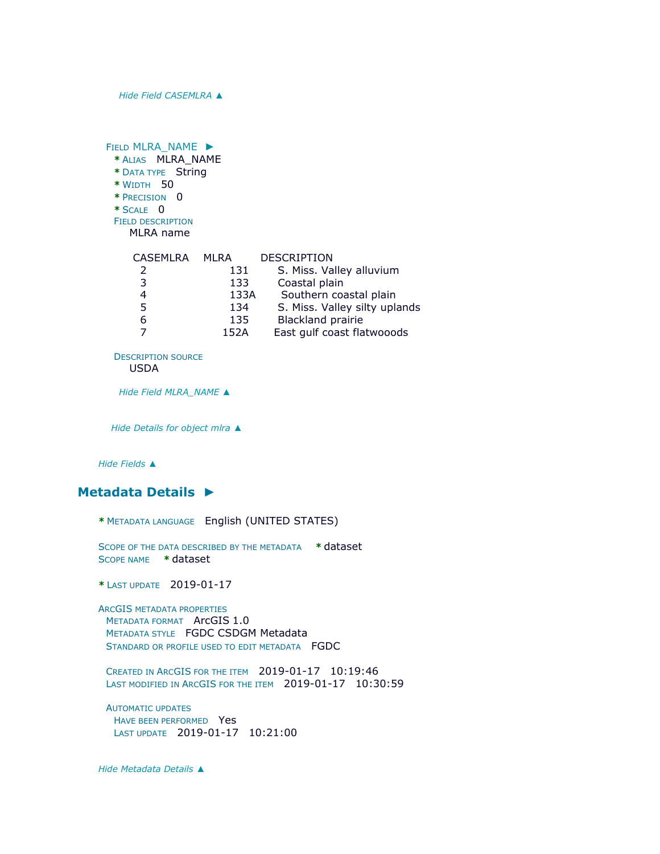*Hide Field [CASEMLRA](file:///C:/Users/swalker/AppData/Local/Temp/arc4EC9/tmp2231.tmp.htm%23ID0EBAIA) ▲*

| FIELD MLRA NAME ><br>* ALIAS MLRA_NAME<br>* DATA TYPE String<br>* WIDTH 50<br>* PRECISION 0<br>$*$ SCALE 0<br><b>FIELD DESCRIPTION</b><br>MLRA name |      |                               |
|-----------------------------------------------------------------------------------------------------------------------------------------------------|------|-------------------------------|
| <b>CASEMLRA</b>                                                                                                                                     | MLRA | <b>DESCRIPTION</b>            |
| 2                                                                                                                                                   | 131  | S. Miss. Valley alluvium      |
| 3                                                                                                                                                   | 133  | Coastal plain                 |
| 4                                                                                                                                                   | 133A | Southern coastal plain        |
| 5                                                                                                                                                   | 134  | S. Miss. Valley silty uplands |
| 6                                                                                                                                                   | 135  | <b>Blackland prairie</b>      |
|                                                                                                                                                     | 152A | East gulf coast flatwooods    |

DESCRIPTION SOURCE

USDA

*Hide Field [MLRA\\_NAME](file:///C:/Users/swalker/AppData/Local/Temp/arc4EC9/tmp2231.tmp.htm%23ID0EAAIA) ▲*

*Hide [Details for object](file:///C:/Users/swalker/AppData/Local/Temp/arc4EC9/tmp2231.tmp.htm%23ID0EAIA) mlra ▲*

*Hide [Fields](file:///C:/Users/swalker/AppData/Local/Temp/arc4EC9/tmp2231.tmp.htm%23ID0EIA) ▲*

#### **[Metadata Details](file:///C:/Users/swalker/AppData/Local/Temp/arc4EC9/tmp2231.tmp.htm%23ID0TALMA) ►**

```
* METADATA LANGUAGE English (UNITED STATES)
```
SCOPE OF THE DATA DESCRIBED BY THE METADATA **\*** dataset SCOPE NAME **\*** dataset

**\*** LAST UPDATE 2019-01-17

ARCGIS METADATA PROPERTIES METADATA FORMAT ArcGIS 1.0 METADATA STYLE FGDC CSDGM Metadata STANDARD OR PROFILE USED TO EDIT METADATA FGDC

CREATED IN ARCGIS FOR THE ITEM 2019-01-17 10:19:46 LAST MODIFIED IN ARCGIS FOR THE ITEM 2019-01-17 10:30:59

AUTOMATIC UPDATES HAVE BEEN PERFORMED Yes LAST UPDATE 2019-01-17 10:21:00

*Hide [Metadata Details](file:///C:/Users/swalker/AppData/Local/Temp/arc4EC9/tmp2231.tmp.htm%23ID0TALMA) ▲*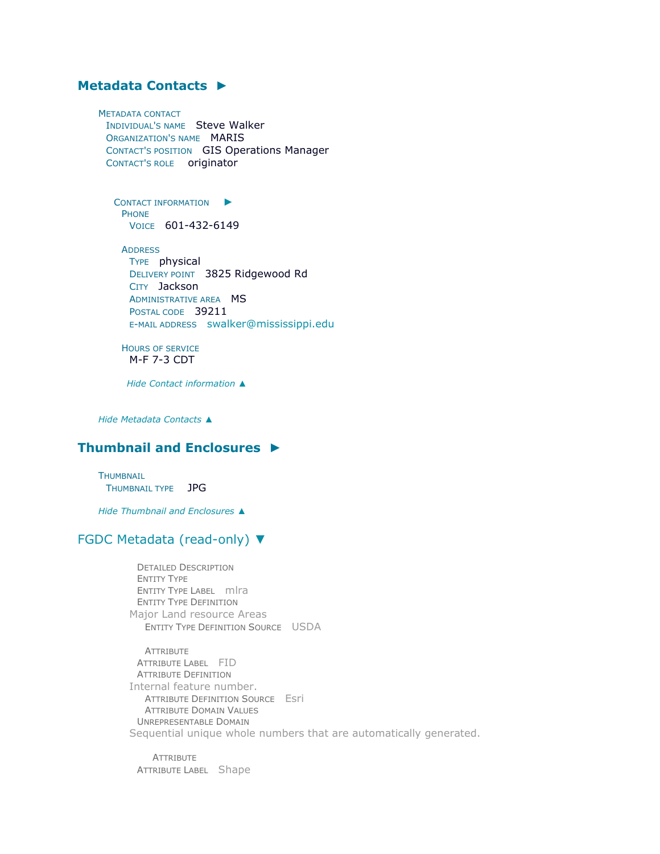# **[Metadata Contacts](file:///C:/Users/swalker/AppData/Local/Temp/arc4EC9/tmp2231.tmp.htm%23ID0EKA) ►**

METADATA CONTACT INDIVIDUAL'S NAME Steve Walker ORGANIZATION'S NAME MARIS CONTACT'S POSITION GIS Operations Manager CONTACT'S ROLE originator

C[ONTACT INFORMATION](file:///C:/Users/swalker/AppData/Local/Temp/arc4EC9/tmp2231.tmp.htm%23ID0EBKA)  $\blacktriangleright$ PHONE VOICE 601-432-6149

**ADDRESS** TYPE physical DELIVERY POINT 3825 Ridgewood Rd CITY Jackson ADMINISTRATIVE AREA **MS** POSTAL CODE 39211 E-MAIL ADDRESS [swalker@mississippi.edu](mailto:swalker@mississippi.edu?subject=Major%20Land%20Resource%20Areas%201978)

HOURS OF SERVICE M-F 7-3 CDT

*Hide [Contact information](file:///C:/Users/swalker/AppData/Local/Temp/arc4EC9/tmp2231.tmp.htm%23ID0EBKA) ▲*

*Hide [Metadata Contacts](file:///C:/Users/swalker/AppData/Local/Temp/arc4EC9/tmp2231.tmp.htm%23ID0EKA) ▲*

## **[Thumbnail and Enclosures](file:///C:/Users/swalker/AppData/Local/Temp/arc4EC9/tmp2231.tmp.htm%23ID0ELA) ►**

**THUMBNAIL** THUMBNAIL TYPE JPG

*Hide [Thumbnail and Enclosures](file:///C:/Users/swalker/AppData/Local/Temp/arc4EC9/tmp2231.tmp.htm%23ID0ELA) ▲*

#### [FGDC Metadata \(read-only\)](file:///C:/Users/swalker/AppData/Local/Temp/arc4EC9/tmp2231.tmp.htm%23fgdcMetadata) ▼

DETAILED DESCRIPTION ENTITY TYPE ENTITY TYPE LABEL mlra ENTITY TYPE DEFINITION Major Land resource Areas ENTITY TYPE DEFINITION SOURCE USDA

**ATTRIBUTE** ATTRIBUTE LABEL FID ATTRIBUTE DEFINITION Internal feature number. ATTRIBUTE DEFINITION SOURCE Esri ATTRIBUTE DOMAIN VALUES UNREPRESENTABLE DOMAIN Sequential unique whole numbers that are automatically generated.

**ATTRIBUTE** ATTRIBUTE LABEL Shape